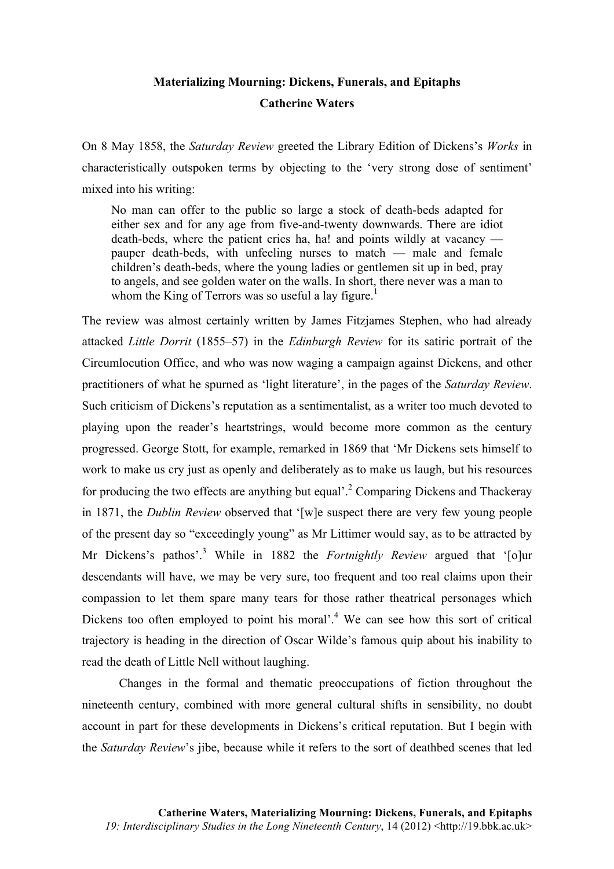## **Materializing Mourning: Dickens, Funerals, and Epitaphs Catherine Waters**

On 8 May 1858, the *Saturday Review* greeted the Library Edition of Dickens's *Works* in characteristically outspoken terms by objecting to the 'very strong dose of sentiment' mixed into his writing:

No man can offer to the public so large a stock of death-beds adapted for either sex and for any age from five-and-twenty downwards. There are idiot death-beds, where the patient cries ha, ha! and points wildly at vacancy pauper death-beds, with unfeeling nurses to match — male and female children's death-beds, where the young ladies or gentlemen sit up in bed, pray to angels, and see golden water on the walls. In short, there never was a man to whom the King of Terrors was so useful a lay figure.<sup>1</sup>

The review was almost certainly written by James Fitzjames Stephen, who had already attacked *Little Dorrit* (1855–57) in the *Edinburgh Review* for its satiric portrait of the Circumlocution Office, and who was now waging a campaign against Dickens, and other practitioners of what he spurned as 'light literature', in the pages of the *Saturday Review*. Such criticism of Dickens's reputation as a sentimentalist, as a writer too much devoted to playing upon the reader's heartstrings, would become more common as the century progressed. George Stott, for example, remarked in 1869 that 'Mr Dickens sets himself to work to make us cry just as openly and deliberately as to make us laugh, but his resources for producing the two effects are anything but equal'.<sup>2</sup> Comparing Dickens and Thackeray in 1871, the *Dublin Review* observed that '[w]e suspect there are very few young people of the present day so "exceedingly young" as Mr Littimer would say, as to be attracted by Mr Dickens's pathos'.<sup>3</sup> While in 1882 the *Fortnightly Review* argued that '[o]ur descendants will have, we may be very sure, too frequent and too real claims upon their compassion to let them spare many tears for those rather theatrical personages which Dickens too often employed to point his moral'.<sup>4</sup> We can see how this sort of critical trajectory is heading in the direction of Oscar Wilde's famous quip about his inability to read the death of Little Nell without laughing.

Changes in the formal and thematic preoccupations of fiction throughout the nineteenth century, combined with more general cultural shifts in sensibility, no doubt account in part for these developments in Dickens's critical reputation. But I begin with the *Saturday Review*'s jibe, because while it refers to the sort of deathbed scenes that led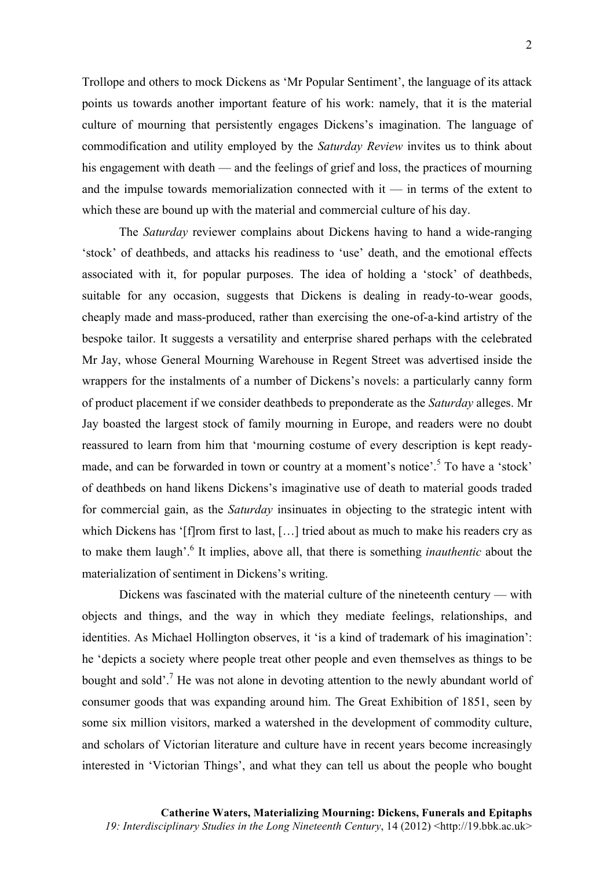Trollope and others to mock Dickens as 'Mr Popular Sentiment', the language of its attack points us towards another important feature of his work: namely, that it is the material culture of mourning that persistently engages Dickens's imagination. The language of commodification and utility employed by the *Saturday Review* invites us to think about his engagement with death — and the feelings of grief and loss, the practices of mourning and the impulse towards memorialization connected with it — in terms of the extent to which these are bound up with the material and commercial culture of his day.

The *Saturday* reviewer complains about Dickens having to hand a wide-ranging 'stock' of deathbeds, and attacks his readiness to 'use' death, and the emotional effects associated with it, for popular purposes. The idea of holding a 'stock' of deathbeds, suitable for any occasion, suggests that Dickens is dealing in ready-to-wear goods, cheaply made and mass-produced, rather than exercising the one-of-a-kind artistry of the bespoke tailor. It suggests a versatility and enterprise shared perhaps with the celebrated Mr Jay, whose General Mourning Warehouse in Regent Street was advertised inside the wrappers for the instalments of a number of Dickens's novels: a particularly canny form of product placement if we consider deathbeds to preponderate as the *Saturday* alleges. Mr Jay boasted the largest stock of family mourning in Europe, and readers were no doubt reassured to learn from him that 'mourning costume of every description is kept readymade, and can be forwarded in town or country at a moment's notice'.<sup>5</sup> To have a 'stock' of deathbeds on hand likens Dickens's imaginative use of death to material goods traded for commercial gain, as the *Saturday* insinuates in objecting to the strategic intent with which Dickens has '[f]rom first to last, [...] tried about as much to make his readers cry as to make them laugh'.6 It implies, above all, that there is something *inauthentic* about the materialization of sentiment in Dickens's writing.

Dickens was fascinated with the material culture of the nineteenth century — with objects and things, and the way in which they mediate feelings, relationships, and identities. As Michael Hollington observes, it 'is a kind of trademark of his imagination': he 'depicts a society where people treat other people and even themselves as things to be bought and sold'.<sup>7</sup> He was not alone in devoting attention to the newly abundant world of consumer goods that was expanding around him. The Great Exhibition of 1851, seen by some six million visitors, marked a watershed in the development of commodity culture, and scholars of Victorian literature and culture have in recent years become increasingly interested in 'Victorian Things', and what they can tell us about the people who bought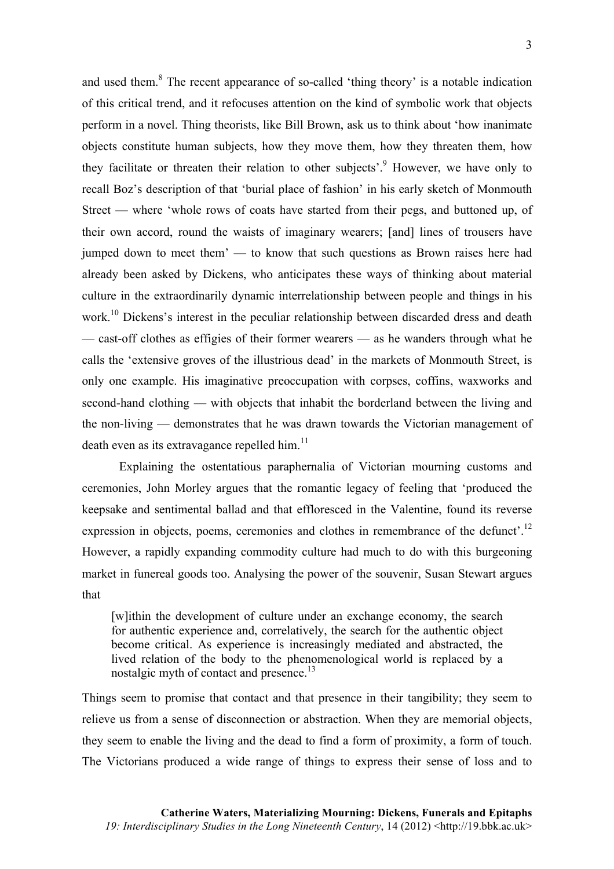and used them.<sup>8</sup> The recent appearance of so-called 'thing theory' is a notable indication of this critical trend, and it refocuses attention on the kind of symbolic work that objects perform in a novel. Thing theorists, like Bill Brown, ask us to think about 'how inanimate objects constitute human subjects, how they move them, how they threaten them, how they facilitate or threaten their relation to other subjects<sup> $,9$ </sup> However, we have only to recall Boz's description of that 'burial place of fashion' in his early sketch of Monmouth Street — where 'whole rows of coats have started from their pegs, and buttoned up, of their own accord, round the waists of imaginary wearers; [and] lines of trousers have jumped down to meet them' — to know that such questions as Brown raises here had already been asked by Dickens, who anticipates these ways of thinking about material culture in the extraordinarily dynamic interrelationship between people and things in his work.<sup>10</sup> Dickens's interest in the peculiar relationship between discarded dress and death — cast-off clothes as effigies of their former wearers — as he wanders through what he calls the 'extensive groves of the illustrious dead' in the markets of Monmouth Street, is only one example. His imaginative preoccupation with corpses, coffins, waxworks and second-hand clothing — with objects that inhabit the borderland between the living and the non-living — demonstrates that he was drawn towards the Victorian management of death even as its extravagance repelled him. $^{11}$ 

Explaining the ostentatious paraphernalia of Victorian mourning customs and ceremonies, John Morley argues that the romantic legacy of feeling that 'produced the keepsake and sentimental ballad and that effloresced in the Valentine, found its reverse expression in objects, poems, ceremonies and clothes in remembrance of the defunct'.<sup>12</sup> However, a rapidly expanding commodity culture had much to do with this burgeoning market in funereal goods too. Analysing the power of the souvenir, Susan Stewart argues that

[w]ithin the development of culture under an exchange economy, the search for authentic experience and, correlatively, the search for the authentic object become critical. As experience is increasingly mediated and abstracted, the lived relation of the body to the phenomenological world is replaced by a nostalgic myth of contact and presence.<sup>13</sup>

Things seem to promise that contact and that presence in their tangibility; they seem to relieve us from a sense of disconnection or abstraction. When they are memorial objects, they seem to enable the living and the dead to find a form of proximity, a form of touch. The Victorians produced a wide range of things to express their sense of loss and to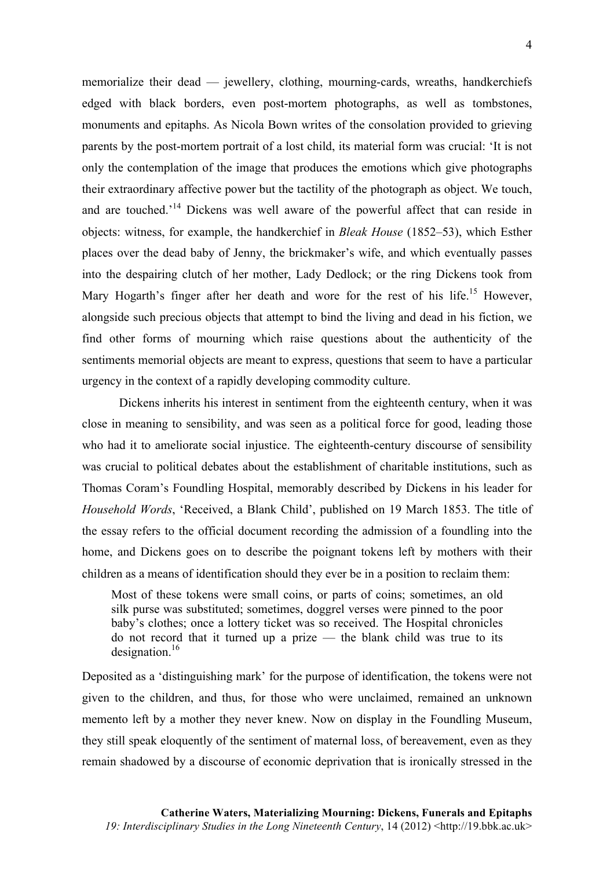memorialize their dead — jewellery, clothing, mourning-cards, wreaths, handkerchiefs edged with black borders, even post-mortem photographs, as well as tombstones, monuments and epitaphs. As Nicola Bown writes of the consolation provided to grieving parents by the post-mortem portrait of a lost child, its material form was crucial: 'It is not only the contemplation of the image that produces the emotions which give photographs their extraordinary affective power but the tactility of the photograph as object. We touch, and are touched.<sup>14</sup> Dickens was well aware of the powerful affect that can reside in objects: witness, for example, the handkerchief in *Bleak House* (1852–53), which Esther places over the dead baby of Jenny, the brickmaker's wife, and which eventually passes into the despairing clutch of her mother, Lady Dedlock; or the ring Dickens took from Mary Hogarth's finger after her death and wore for the rest of his life.<sup>15</sup> However, alongside such precious objects that attempt to bind the living and dead in his fiction, we find other forms of mourning which raise questions about the authenticity of the sentiments memorial objects are meant to express, questions that seem to have a particular urgency in the context of a rapidly developing commodity culture.

Dickens inherits his interest in sentiment from the eighteenth century, when it was close in meaning to sensibility, and was seen as a political force for good, leading those who had it to ameliorate social injustice. The eighteenth-century discourse of sensibility was crucial to political debates about the establishment of charitable institutions, such as Thomas Coram's Foundling Hospital, memorably described by Dickens in his leader for *Household Words*, 'Received, a Blank Child', published on 19 March 1853. The title of the essay refers to the official document recording the admission of a foundling into the home, and Dickens goes on to describe the poignant tokens left by mothers with their children as a means of identification should they ever be in a position to reclaim them:

Most of these tokens were small coins, or parts of coins; sometimes, an old silk purse was substituted; sometimes, doggrel verses were pinned to the poor baby's clothes; once a lottery ticket was so received. The Hospital chronicles do not record that it turned up a prize — the blank child was true to its designation. $16$ 

Deposited as a 'distinguishing mark' for the purpose of identification, the tokens were not given to the children, and thus, for those who were unclaimed, remained an unknown memento left by a mother they never knew. Now on display in the Foundling Museum, they still speak eloquently of the sentiment of maternal loss, of bereavement, even as they remain shadowed by a discourse of economic deprivation that is ironically stressed in the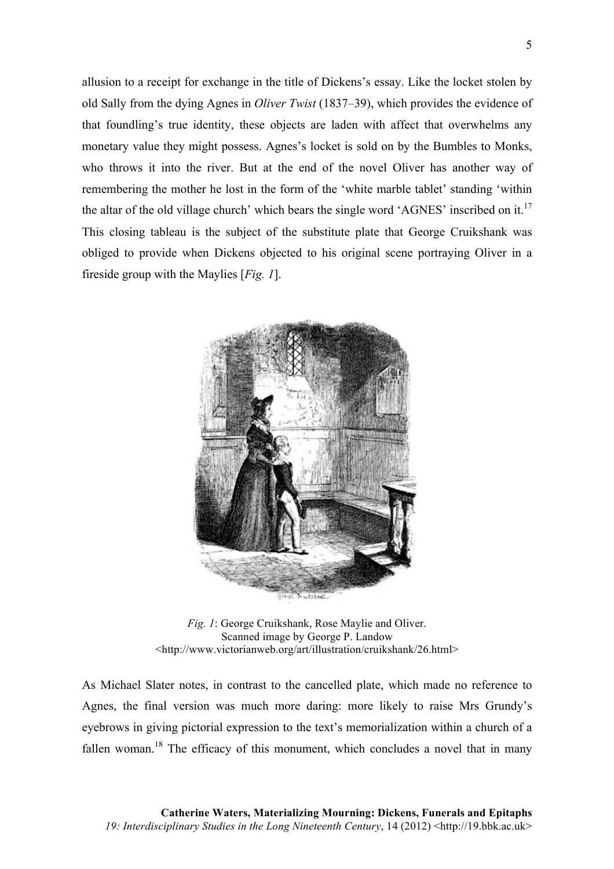allusion to a receipt for exchange in the title of Dickens's essay. Like the locket stolen by old Sally from the dying Agnes in *Oliver Twist* (1837–39), which provides the evidence of that foundling's true identity, these objects are laden with affect that overwhelms any monetary value they might possess. Agnes's locket is sold on by the Bumbles to Monks, who throws it into the river. But at the end of the novel Oliver has another way of remembering the mother he lost in the form of the 'white marble tablet' standing 'within the altar of the old village church' which bears the single word 'AGNES' inscribed on it.<sup>17</sup> This closing tableau is the subject of the substitute plate that George Cruikshank was obliged to provide when Dickens objected to his original scene portraying Oliver in a fireside group with the Maylies [*Fig. 1*].



*Fig. 1*: George Cruikshank, Rose Maylie and Oliver. Scanned image by George P. Landow <http://www.victorianweb.org/art/illustration/cruikshank/26.html>

As Michael Slater notes, in contrast to the cancelled plate, which made no reference to Agnes, the final version was much more daring: more likely to raise Mrs Grundy's eyebrows in giving pictorial expression to the text's memorialization within a church of a fallen woman.<sup>18</sup> The efficacy of this monument, which concludes a novel that in many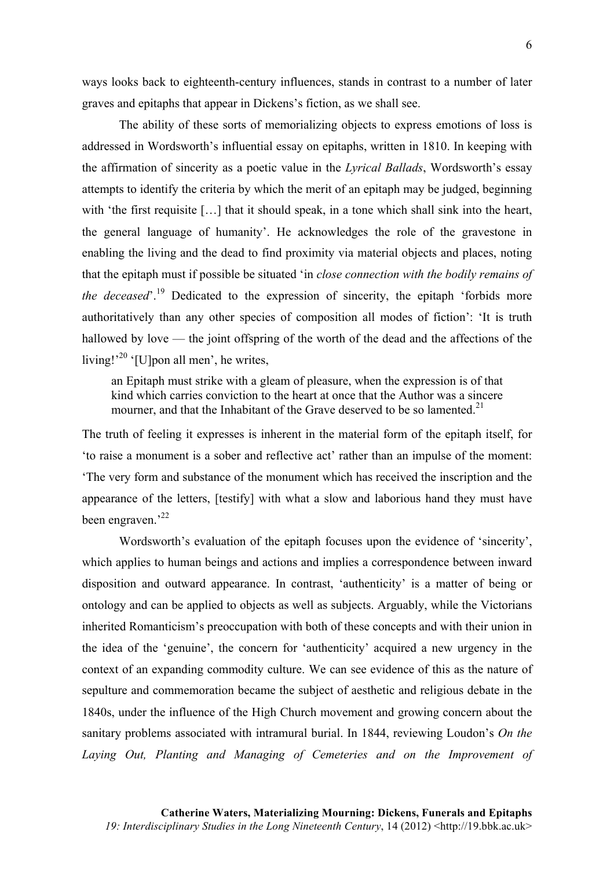ways looks back to eighteenth-century influences, stands in contrast to a number of later graves and epitaphs that appear in Dickens's fiction, as we shall see.

The ability of these sorts of memorializing objects to express emotions of loss is addressed in Wordsworth's influential essay on epitaphs, written in 1810. In keeping with the affirmation of sincerity as a poetic value in the *Lyrical Ballads*, Wordsworth's essay attempts to identify the criteria by which the merit of an epitaph may be judged, beginning with 'the first requisite [...] that it should speak, in a tone which shall sink into the heart, the general language of humanity'. He acknowledges the role of the gravestone in enabling the living and the dead to find proximity via material objects and places, noting that the epitaph must if possible be situated 'in *close connection with the bodily remains of the deceased*<sup>''</sup>.<sup>19</sup> Dedicated to the expression of sincerity, the epitaph 'forbids more authoritatively than any other species of composition all modes of fiction': 'It is truth hallowed by love — the joint offspring of the worth of the dead and the affections of the living!<sup>20</sup> '[U]pon all men', he writes,

an Epitaph must strike with a gleam of pleasure, when the expression is of that kind which carries conviction to the heart at once that the Author was a sincere mourner, and that the Inhabitant of the Grave deserved to be so lamented.<sup>21</sup>

The truth of feeling it expresses is inherent in the material form of the epitaph itself, for 'to raise a monument is a sober and reflective act' rather than an impulse of the moment: 'The very form and substance of the monument which has received the inscription and the appearance of the letters, [testify] with what a slow and laborious hand they must have been engraven.<sup>22</sup>

Wordsworth's evaluation of the epitaph focuses upon the evidence of 'sincerity', which applies to human beings and actions and implies a correspondence between inward disposition and outward appearance. In contrast, 'authenticity' is a matter of being or ontology and can be applied to objects as well as subjects. Arguably, while the Victorians inherited Romanticism's preoccupation with both of these concepts and with their union in the idea of the 'genuine', the concern for 'authenticity' acquired a new urgency in the context of an expanding commodity culture. We can see evidence of this as the nature of sepulture and commemoration became the subject of aesthetic and religious debate in the 1840s, under the influence of the High Church movement and growing concern about the sanitary problems associated with intramural burial. In 1844, reviewing Loudon's *On the Laying Out, Planting and Managing of Cemeteries and on the Improvement of*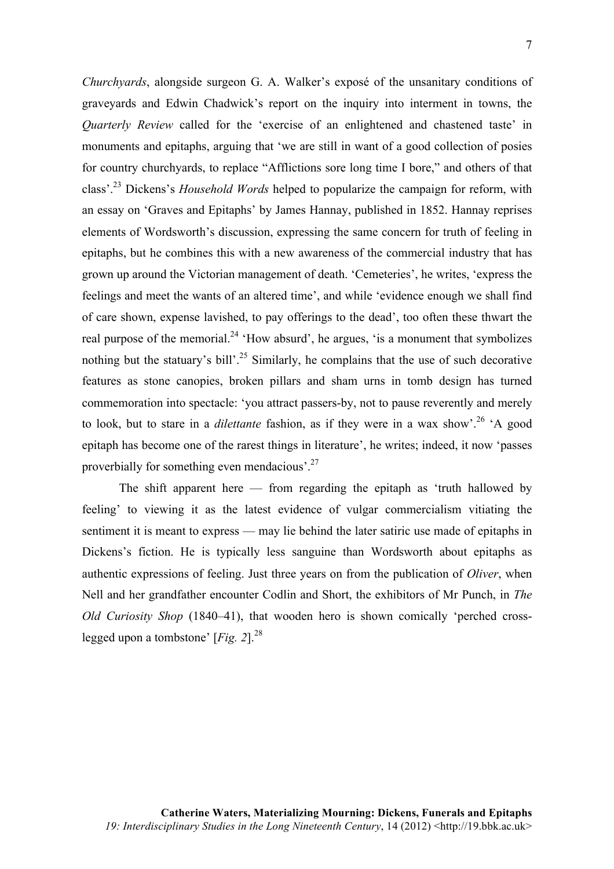*Churchyards*, alongside surgeon G. A. Walker's exposé of the unsanitary conditions of graveyards and Edwin Chadwick's report on the inquiry into interment in towns, the *Quarterly Review* called for the 'exercise of an enlightened and chastened taste' in monuments and epitaphs, arguing that 'we are still in want of a good collection of posies for country churchyards, to replace "Afflictions sore long time I bore," and others of that class'.23 Dickens's *Household Words* helped to popularize the campaign for reform, with an essay on 'Graves and Epitaphs' by James Hannay, published in 1852. Hannay reprises elements of Wordsworth's discussion, expressing the same concern for truth of feeling in epitaphs, but he combines this with a new awareness of the commercial industry that has grown up around the Victorian management of death. 'Cemeteries', he writes, 'express the feelings and meet the wants of an altered time', and while 'evidence enough we shall find of care shown, expense lavished, to pay offerings to the dead', too often these thwart the real purpose of the memorial.<sup>24</sup> 'How absurd', he argues, 'is a monument that symbolizes nothing but the statuary's bill'.<sup>25</sup> Similarly, he complains that the use of such decorative features as stone canopies, broken pillars and sham urns in tomb design has turned commemoration into spectacle: 'you attract passers-by, not to pause reverently and merely to look, but to stare in a *dilettante* fashion, as if they were in a wax show'.<sup>26</sup> 'A good epitaph has become one of the rarest things in literature', he writes; indeed, it now 'passes proverbially for something even mendacious'.27

The shift apparent here  $-$  from regarding the epitaph as 'truth hallowed by feeling' to viewing it as the latest evidence of vulgar commercialism vitiating the sentiment it is meant to express — may lie behind the later satiric use made of epitaphs in Dickens's fiction. He is typically less sanguine than Wordsworth about epitaphs as authentic expressions of feeling. Just three years on from the publication of *Oliver*, when Nell and her grandfather encounter Codlin and Short, the exhibitors of Mr Punch, in *The Old Curiosity Shop* (1840–41), that wooden hero is shown comically 'perched crosslegged upon a tombstone'  $[Fig. 2]^{28}$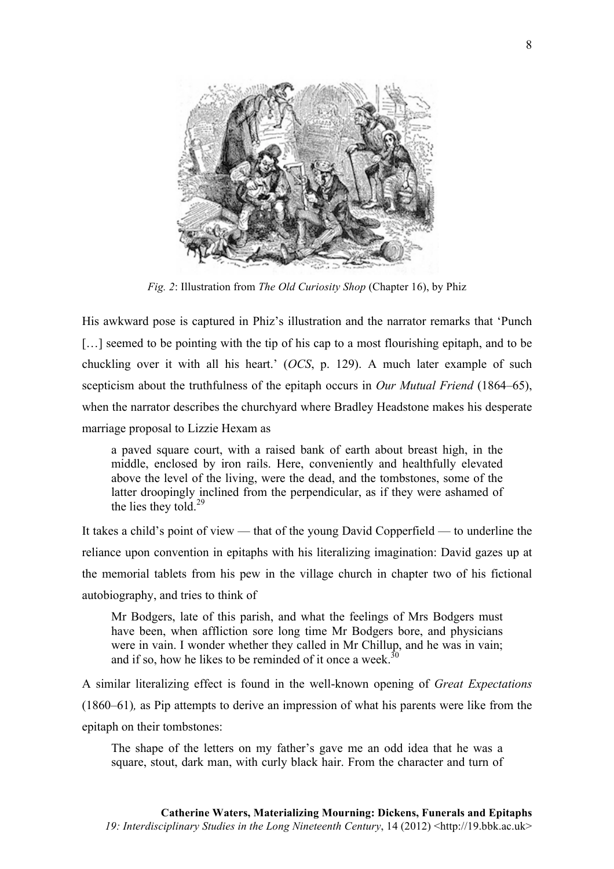

*Fig. 2*: Illustration from *The Old Curiosity Shop* (Chapter 16), by Phiz

His awkward pose is captured in Phiz's illustration and the narrator remarks that 'Punch [...] seemed to be pointing with the tip of his cap to a most flourishing epitaph, and to be chuckling over it with all his heart.' (*OCS*, p. 129). A much later example of such scepticism about the truthfulness of the epitaph occurs in *Our Mutual Friend* (1864–65), when the narrator describes the churchyard where Bradley Headstone makes his desperate marriage proposal to Lizzie Hexam as

a paved square court, with a raised bank of earth about breast high, in the middle, enclosed by iron rails. Here, conveniently and healthfully elevated above the level of the living, were the dead, and the tombstones, some of the latter droopingly inclined from the perpendicular, as if they were ashamed of the lies they told.<sup>29</sup>

It takes a child's point of view — that of the young David Copperfield — to underline the reliance upon convention in epitaphs with his literalizing imagination: David gazes up at the memorial tablets from his pew in the village church in chapter two of his fictional autobiography, and tries to think of

Mr Bodgers, late of this parish, and what the feelings of Mrs Bodgers must have been, when affliction sore long time Mr Bodgers bore, and physicians were in vain. I wonder whether they called in Mr Chillup, and he was in vain; and if so, how he likes to be reminded of it once a week. $\frac{3}{2}$ 

A similar literalizing effect is found in the well-known opening of *Great Expectations* (1860–61)*,* as Pip attempts to derive an impression of what his parents were like from the epitaph on their tombstones:

The shape of the letters on my father's gave me an odd idea that he was a square, stout, dark man, with curly black hair. From the character and turn of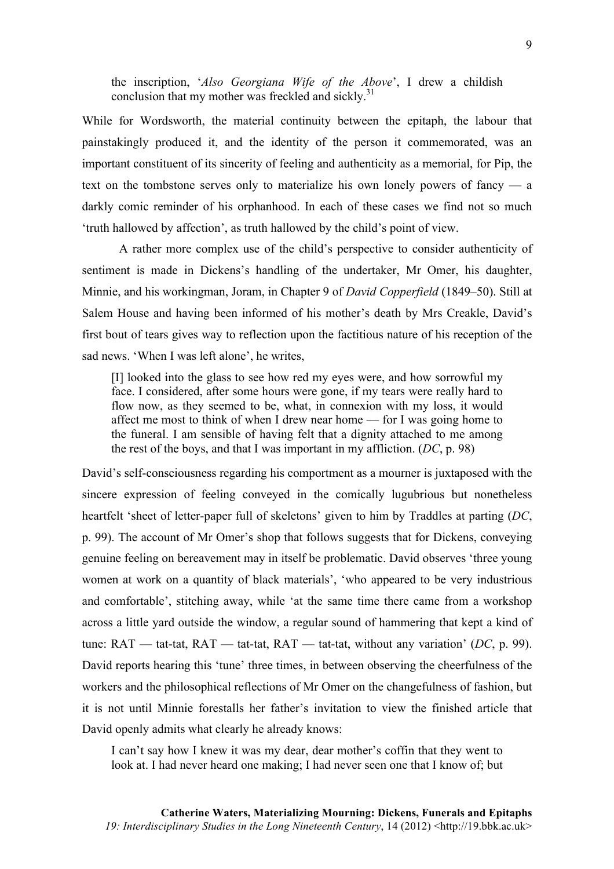the inscription, '*Also Georgiana Wife of the Above*', I drew a childish conclusion that my mother was freckled and sickly.<sup>31</sup>

While for Wordsworth, the material continuity between the epitaph, the labour that painstakingly produced it, and the identity of the person it commemorated, was an important constituent of its sincerity of feeling and authenticity as a memorial, for Pip, the text on the tombstone serves only to materialize his own lonely powers of fancy  $-$  a darkly comic reminder of his orphanhood. In each of these cases we find not so much 'truth hallowed by affection', as truth hallowed by the child's point of view.

A rather more complex use of the child's perspective to consider authenticity of sentiment is made in Dickens's handling of the undertaker, Mr Omer, his daughter, Minnie, and his workingman, Joram, in Chapter 9 of *David Copperfield* (1849–50). Still at Salem House and having been informed of his mother's death by Mrs Creakle, David's first bout of tears gives way to reflection upon the factitious nature of his reception of the sad news. 'When I was left alone', he writes,

[I] looked into the glass to see how red my eyes were, and how sorrowful my face. I considered, after some hours were gone, if my tears were really hard to flow now, as they seemed to be, what, in connexion with my loss, it would affect me most to think of when I drew near home — for I was going home to the funeral. I am sensible of having felt that a dignity attached to me among the rest of the boys, and that I was important in my affliction. (*DC*, p. 98)

David's self-consciousness regarding his comportment as a mourner is juxtaposed with the sincere expression of feeling conveyed in the comically lugubrious but nonetheless heartfelt 'sheet of letter-paper full of skeletons' given to him by Traddles at parting (*DC*, p. 99). The account of Mr Omer's shop that follows suggests that for Dickens, conveying genuine feeling on bereavement may in itself be problematic. David observes 'three young women at work on a quantity of black materials', 'who appeared to be very industrious and comfortable', stitching away, while 'at the same time there came from a workshop across a little yard outside the window, a regular sound of hammering that kept a kind of tune: RAT — tat-tat, RAT — tat-tat, RAT — tat-tat, without any variation' (*DC*, p. 99). David reports hearing this 'tune' three times, in between observing the cheerfulness of the workers and the philosophical reflections of Mr Omer on the changefulness of fashion, but it is not until Minnie forestalls her father's invitation to view the finished article that David openly admits what clearly he already knows:

I can't say how I knew it was my dear, dear mother's coffin that they went to look at. I had never heard one making; I had never seen one that I know of; but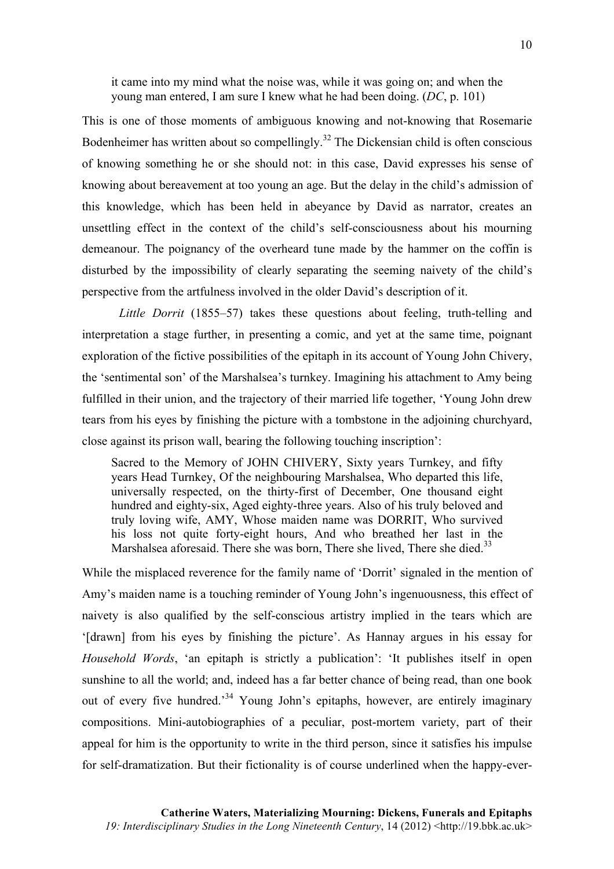it came into my mind what the noise was, while it was going on; and when the young man entered, I am sure I knew what he had been doing. (*DC*, p. 101)

This is one of those moments of ambiguous knowing and not-knowing that Rosemarie Bodenheimer has written about so compellingly.<sup>32</sup> The Dickensian child is often conscious of knowing something he or she should not: in this case, David expresses his sense of knowing about bereavement at too young an age. But the delay in the child's admission of this knowledge, which has been held in abeyance by David as narrator, creates an unsettling effect in the context of the child's self-consciousness about his mourning demeanour. The poignancy of the overheard tune made by the hammer on the coffin is disturbed by the impossibility of clearly separating the seeming naivety of the child's perspective from the artfulness involved in the older David's description of it.

*Little Dorrit* (1855–57) takes these questions about feeling, truth-telling and interpretation a stage further, in presenting a comic, and yet at the same time, poignant exploration of the fictive possibilities of the epitaph in its account of Young John Chivery, the 'sentimental son' of the Marshalsea's turnkey. Imagining his attachment to Amy being fulfilled in their union, and the trajectory of their married life together, 'Young John drew tears from his eyes by finishing the picture with a tombstone in the adjoining churchyard, close against its prison wall, bearing the following touching inscription':

Sacred to the Memory of JOHN CHIVERY, Sixty years Turnkey, and fifty years Head Turnkey, Of the neighbouring Marshalsea, Who departed this life, universally respected, on the thirty-first of December, One thousand eight hundred and eighty-six, Aged eighty-three years. Also of his truly beloved and truly loving wife, AMY, Whose maiden name was DORRIT, Who survived his loss not quite forty-eight hours, And who breathed her last in the Marshalsea aforesaid. There she was born, There she lived, There she died.<sup>33</sup>

While the misplaced reverence for the family name of 'Dorrit' signaled in the mention of Amy's maiden name is a touching reminder of Young John's ingenuousness, this effect of naivety is also qualified by the self-conscious artistry implied in the tears which are '[drawn] from his eyes by finishing the picture'. As Hannay argues in his essay for *Household Words*, 'an epitaph is strictly a publication': 'It publishes itself in open sunshine to all the world; and, indeed has a far better chance of being read, than one book out of every five hundred.<sup>34</sup> Young John's epitaphs, however, are entirely imaginary compositions. Mini-autobiographies of a peculiar, post-mortem variety, part of their appeal for him is the opportunity to write in the third person, since it satisfies his impulse for self-dramatization. But their fictionality is of course underlined when the happy-ever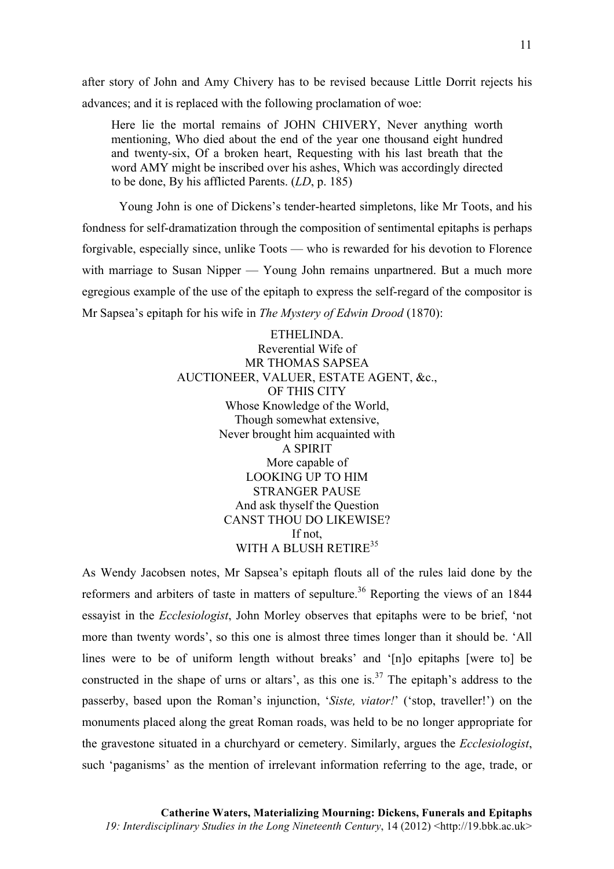after story of John and Amy Chivery has to be revised because Little Dorrit rejects his advances; and it is replaced with the following proclamation of woe:

Here lie the mortal remains of JOHN CHIVERY, Never anything worth mentioning, Who died about the end of the year one thousand eight hundred and twenty-six, Of a broken heart, Requesting with his last breath that the word AMY might be inscribed over his ashes, Which was accordingly directed to be done, By his afflicted Parents. (*LD*, p. 185)

Young John is one of Dickens's tender-hearted simpletons, like Mr Toots, and his fondness for self-dramatization through the composition of sentimental epitaphs is perhaps forgivable, especially since, unlike Toots — who is rewarded for his devotion to Florence with marriage to Susan Nipper — Young John remains unpartnered. But a much more egregious example of the use of the epitaph to express the self-regard of the compositor is Mr Sapsea's epitaph for his wife in *The Mystery of Edwin Drood* (1870):

> ETHELINDA. Reverential Wife of MR THOMAS SAPSEA AUCTIONEER, VALUER, ESTATE AGENT, &c., OF THIS CITY Whose Knowledge of the World, Though somewhat extensive, Never brought him acquainted with A SPIRIT More capable of LOOKING UP TO HIM STRANGER PAUSE And ask thyself the Question CANST THOU DO LIKEWISE? If not, WITH A BLUSH RETIRE<sup>35</sup>

As Wendy Jacobsen notes, Mr Sapsea's epitaph flouts all of the rules laid done by the reformers and arbiters of taste in matters of sepulture.<sup>36</sup> Reporting the views of an  $1844$ essayist in the *Ecclesiologist*, John Morley observes that epitaphs were to be brief, 'not more than twenty words', so this one is almost three times longer than it should be. 'All lines were to be of uniform length without breaks' and '[n]o epitaphs [were to] be constructed in the shape of urns or altars', as this one is.<sup>37</sup> The epitaph's address to the passerby, based upon the Roman's injunction, '*Siste, viator!*' ('stop, traveller!') on the monuments placed along the great Roman roads, was held to be no longer appropriate for the gravestone situated in a churchyard or cemetery. Similarly, argues the *Ecclesiologist*, such 'paganisms' as the mention of irrelevant information referring to the age, trade, or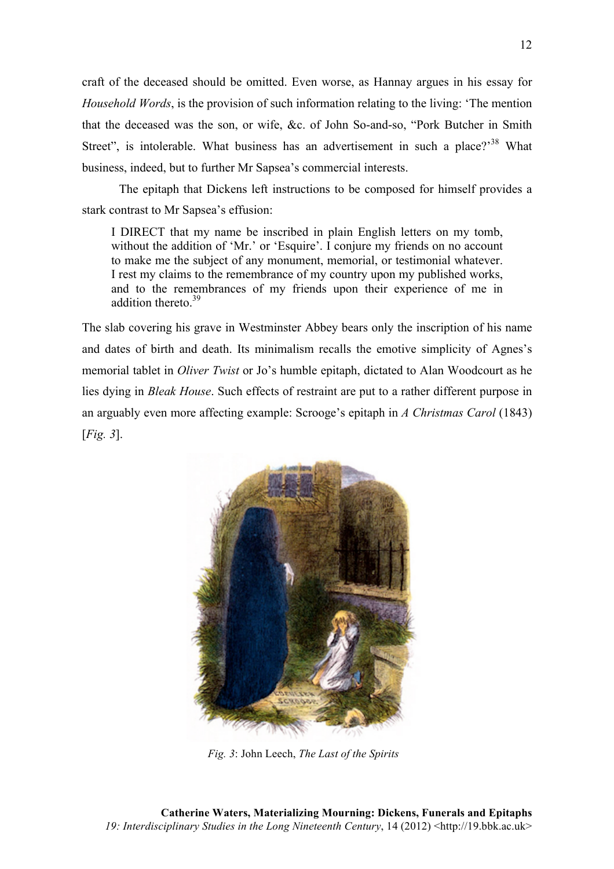craft of the deceased should be omitted. Even worse, as Hannay argues in his essay for *Household Words*, is the provision of such information relating to the living: 'The mention that the deceased was the son, or wife, &c. of John So-and-so, "Pork Butcher in Smith Street", is intolerable. What business has an advertisement in such a place?<sup>38</sup> What business, indeed, but to further Mr Sapsea's commercial interests.

The epitaph that Dickens left instructions to be composed for himself provides a stark contrast to Mr Sapsea's effusion:

I DIRECT that my name be inscribed in plain English letters on my tomb, without the addition of 'Mr.' or 'Esquire'. I conjure my friends on no account to make me the subject of any monument, memorial, or testimonial whatever. I rest my claims to the remembrance of my country upon my published works, and to the remembrances of my friends upon their experience of me in addition thereto.<sup>39</sup>

The slab covering his grave in Westminster Abbey bears only the inscription of his name and dates of birth and death. Its minimalism recalls the emotive simplicity of Agnes's memorial tablet in *Oliver Twist* or Jo's humble epitaph, dictated to Alan Woodcourt as he lies dying in *Bleak House*. Such effects of restraint are put to a rather different purpose in an arguably even more affecting example: Scrooge's epitaph in *A Christmas Carol* (1843) [*Fig. 3*].



*Fig. 3*: John Leech, *The Last of the Spirits*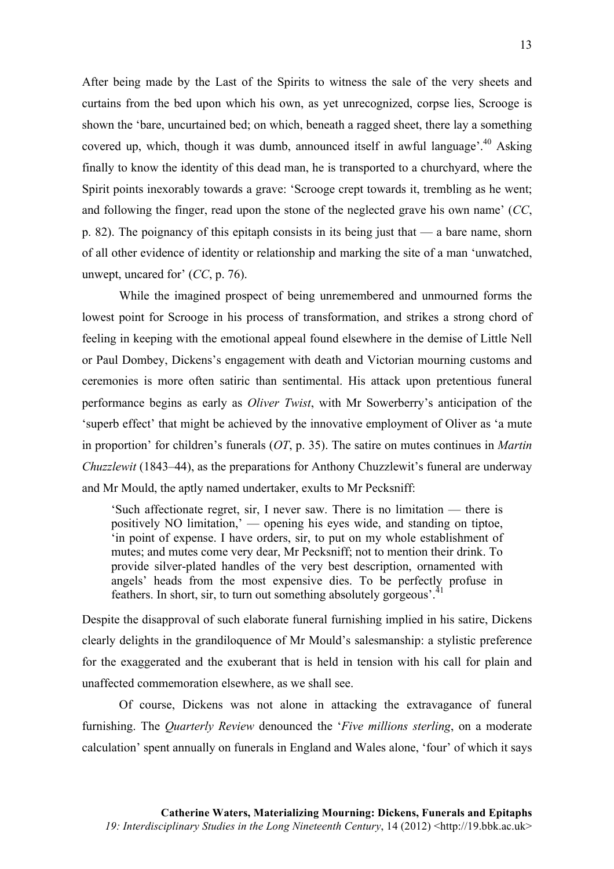After being made by the Last of the Spirits to witness the sale of the very sheets and curtains from the bed upon which his own, as yet unrecognized, corpse lies, Scrooge is shown the 'bare, uncurtained bed; on which, beneath a ragged sheet, there lay a something covered up, which, though it was dumb, announced itself in awful language<sup> $140$ </sup> Asking finally to know the identity of this dead man, he is transported to a churchyard, where the Spirit points inexorably towards a grave: 'Scrooge crept towards it, trembling as he went; and following the finger, read upon the stone of the neglected grave his own name' (*CC*, p. 82). The poignancy of this epitaph consists in its being just that — a bare name, shorn of all other evidence of identity or relationship and marking the site of a man 'unwatched, unwept, uncared for' (*CC*, p. 76).

While the imagined prospect of being unremembered and unmourned forms the lowest point for Scrooge in his process of transformation, and strikes a strong chord of feeling in keeping with the emotional appeal found elsewhere in the demise of Little Nell or Paul Dombey, Dickens's engagement with death and Victorian mourning customs and ceremonies is more often satiric than sentimental. His attack upon pretentious funeral performance begins as early as *Oliver Twist*, with Mr Sowerberry's anticipation of the 'superb effect' that might be achieved by the innovative employment of Oliver as 'a mute in proportion' for children's funerals (*OT*, p. 35). The satire on mutes continues in *Martin Chuzzlewit* (1843–44), as the preparations for Anthony Chuzzlewit's funeral are underway and Mr Mould, the aptly named undertaker, exults to Mr Pecksniff:

'Such affectionate regret, sir, I never saw. There is no limitation — there is positively NO limitation,' — opening his eyes wide, and standing on tiptoe, 'in point of expense. I have orders, sir, to put on my whole establishment of mutes; and mutes come very dear, Mr Pecksniff; not to mention their drink. To provide silver-plated handles of the very best description, ornamented with angels' heads from the most expensive dies. To be perfectly profuse in feathers. In short, sir, to turn out something absolutely gorgeous'.<sup>41</sup>

Despite the disapproval of such elaborate funeral furnishing implied in his satire, Dickens clearly delights in the grandiloquence of Mr Mould's salesmanship: a stylistic preference for the exaggerated and the exuberant that is held in tension with his call for plain and unaffected commemoration elsewhere, as we shall see.

Of course, Dickens was not alone in attacking the extravagance of funeral furnishing. The *Quarterly Review* denounced the '*Five millions sterling*, on a moderate calculation' spent annually on funerals in England and Wales alone, 'four' of which it says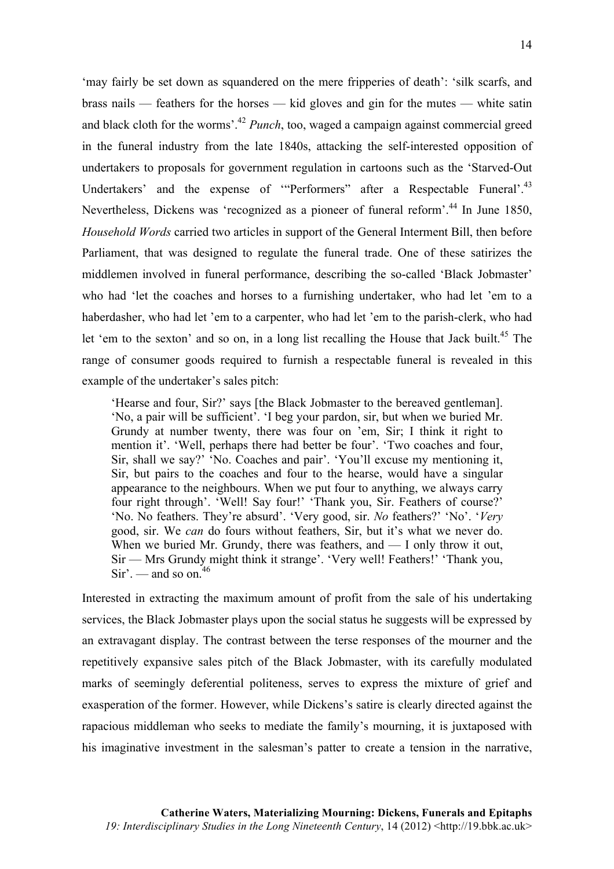'may fairly be set down as squandered on the mere fripperies of death': 'silk scarfs, and brass nails — feathers for the horses — kid gloves and gin for the mutes — white satin and black cloth for the worms'.42 *Punch*, too, waged a campaign against commercial greed in the funeral industry from the late 1840s, attacking the self-interested opposition of undertakers to proposals for government regulation in cartoons such as the 'Starved-Out Undertakers' and the expense of "Performers" after a Respectable Funeral'.<sup>43</sup> Nevertheless, Dickens was 'recognized as a pioneer of funeral reform'.<sup>44</sup> In June 1850. *Household Words* carried two articles in support of the General Interment Bill, then before Parliament, that was designed to regulate the funeral trade. One of these satirizes the middlemen involved in funeral performance, describing the so-called 'Black Jobmaster' who had 'let the coaches and horses to a furnishing undertaker, who had let 'em to a haberdasher, who had let 'em to a carpenter, who had let 'em to the parish-clerk, who had let 'em to the sexton' and so on, in a long list recalling the House that Jack built.<sup>45</sup> The range of consumer goods required to furnish a respectable funeral is revealed in this example of the undertaker's sales pitch:

'Hearse and four, Sir?' says [the Black Jobmaster to the bereaved gentleman]. 'No, a pair will be sufficient'. 'I beg your pardon, sir, but when we buried Mr. Grundy at number twenty, there was four on 'em, Sir; I think it right to mention it'. 'Well, perhaps there had better be four'. 'Two coaches and four, Sir, shall we say?' 'No. Coaches and pair'. 'You'll excuse my mentioning it, Sir, but pairs to the coaches and four to the hearse, would have a singular appearance to the neighbours. When we put four to anything, we always carry four right through'. 'Well! Say four!' 'Thank you, Sir. Feathers of course?' 'No. No feathers. They're absurd'. 'Very good, sir. *No* feathers?' 'No'. '*Very* good, sir. We *can* do fours without feathers, Sir, but it's what we never do. When we buried Mr. Grundy, there was feathers, and — I only throw it out, Sir — Mrs Grundy might think it strange'. 'Very well! Feathers!' 'Thank you,  $Sir'$  — and so on<sup>-46</sup>

Interested in extracting the maximum amount of profit from the sale of his undertaking services, the Black Jobmaster plays upon the social status he suggests will be expressed by an extravagant display. The contrast between the terse responses of the mourner and the repetitively expansive sales pitch of the Black Jobmaster, with its carefully modulated marks of seemingly deferential politeness, serves to express the mixture of grief and exasperation of the former. However, while Dickens's satire is clearly directed against the rapacious middleman who seeks to mediate the family's mourning, it is juxtaposed with his imaginative investment in the salesman's patter to create a tension in the narrative,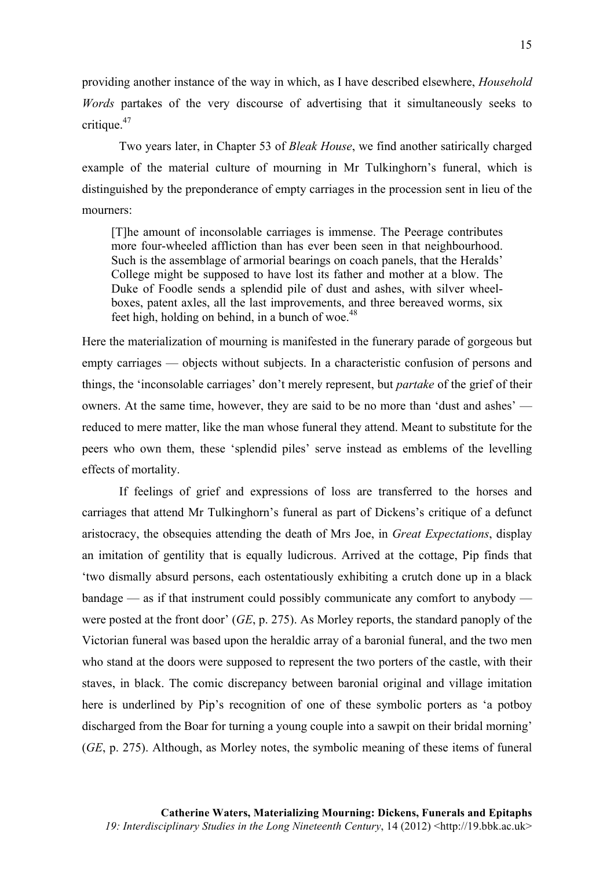providing another instance of the way in which, as I have described elsewhere, *Household Words* partakes of the very discourse of advertising that it simultaneously seeks to critique.<sup>47</sup>

Two years later, in Chapter 53 of *Bleak House*, we find another satirically charged example of the material culture of mourning in Mr Tulkinghorn's funeral, which is distinguished by the preponderance of empty carriages in the procession sent in lieu of the mourners:

[T]he amount of inconsolable carriages is immense. The Peerage contributes more four-wheeled affliction than has ever been seen in that neighbourhood. Such is the assemblage of armorial bearings on coach panels, that the Heralds' College might be supposed to have lost its father and mother at a blow. The Duke of Foodle sends a splendid pile of dust and ashes, with silver wheelboxes, patent axles, all the last improvements, and three bereaved worms, six feet high, holding on behind, in a bunch of woe. $48$ 

Here the materialization of mourning is manifested in the funerary parade of gorgeous but empty carriages — objects without subjects. In a characteristic confusion of persons and things, the 'inconsolable carriages' don't merely represent, but *partake* of the grief of their owners. At the same time, however, they are said to be no more than 'dust and ashes' reduced to mere matter, like the man whose funeral they attend. Meant to substitute for the peers who own them, these 'splendid piles' serve instead as emblems of the levelling effects of mortality.

If feelings of grief and expressions of loss are transferred to the horses and carriages that attend Mr Tulkinghorn's funeral as part of Dickens's critique of a defunct aristocracy, the obsequies attending the death of Mrs Joe, in *Great Expectations*, display an imitation of gentility that is equally ludicrous. Arrived at the cottage, Pip finds that 'two dismally absurd persons, each ostentatiously exhibiting a crutch done up in a black bandage — as if that instrument could possibly communicate any comfort to anybody were posted at the front door' (*GE*, p. 275). As Morley reports, the standard panoply of the Victorian funeral was based upon the heraldic array of a baronial funeral, and the two men who stand at the doors were supposed to represent the two porters of the castle, with their staves, in black. The comic discrepancy between baronial original and village imitation here is underlined by Pip's recognition of one of these symbolic porters as 'a potboy discharged from the Boar for turning a young couple into a sawpit on their bridal morning' (*GE*, p. 275). Although, as Morley notes, the symbolic meaning of these items of funeral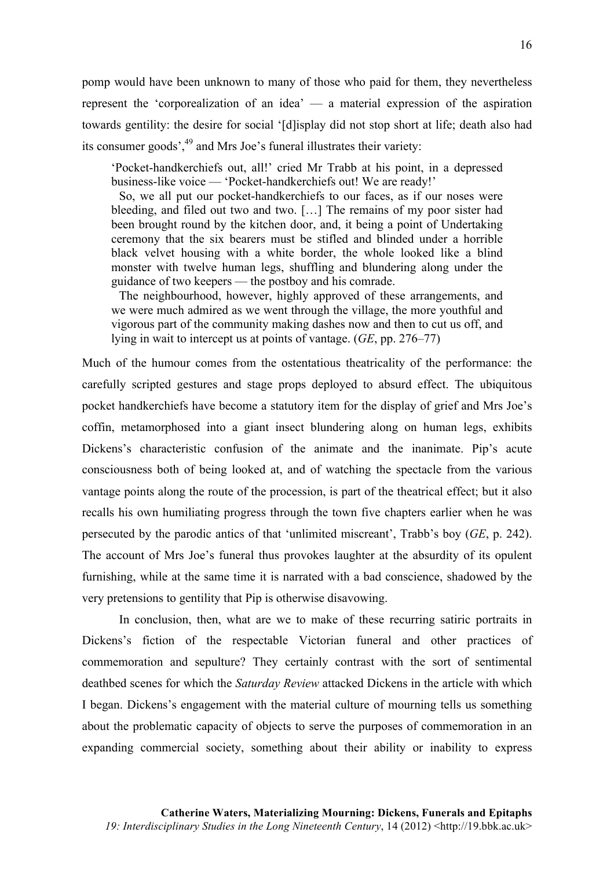pomp would have been unknown to many of those who paid for them, they nevertheless represent the 'corporealization of an idea' — a material expression of the aspiration towards gentility: the desire for social '[d]isplay did not stop short at life; death also had its consumer goods<sup>',49</sup> and Mrs Joe's funeral illustrates their variety:

'Pocket-handkerchiefs out, all!' cried Mr Trabb at his point, in a depressed business-like voice — 'Pocket-handkerchiefs out! We are ready!'

So, we all put our pocket-handkerchiefs to our faces, as if our noses were bleeding, and filed out two and two. […] The remains of my poor sister had been brought round by the kitchen door, and, it being a point of Undertaking ceremony that the six bearers must be stifled and blinded under a horrible black velvet housing with a white border, the whole looked like a blind monster with twelve human legs, shuffling and blundering along under the guidance of two keepers — the postboy and his comrade.

The neighbourhood, however, highly approved of these arrangements, and we were much admired as we went through the village, the more youthful and vigorous part of the community making dashes now and then to cut us off, and lying in wait to intercept us at points of vantage. (*GE*, pp. 276–77)

Much of the humour comes from the ostentatious theatricality of the performance: the carefully scripted gestures and stage props deployed to absurd effect. The ubiquitous pocket handkerchiefs have become a statutory item for the display of grief and Mrs Joe's coffin, metamorphosed into a giant insect blundering along on human legs, exhibits Dickens's characteristic confusion of the animate and the inanimate. Pip's acute consciousness both of being looked at, and of watching the spectacle from the various vantage points along the route of the procession, is part of the theatrical effect; but it also recalls his own humiliating progress through the town five chapters earlier when he was persecuted by the parodic antics of that 'unlimited miscreant', Trabb's boy (*GE*, p. 242). The account of Mrs Joe's funeral thus provokes laughter at the absurdity of its opulent furnishing, while at the same time it is narrated with a bad conscience, shadowed by the very pretensions to gentility that Pip is otherwise disavowing.

In conclusion, then, what are we to make of these recurring satiric portraits in Dickens's fiction of the respectable Victorian funeral and other practices of commemoration and sepulture? They certainly contrast with the sort of sentimental deathbed scenes for which the *Saturday Review* attacked Dickens in the article with which I began. Dickens's engagement with the material culture of mourning tells us something about the problematic capacity of objects to serve the purposes of commemoration in an expanding commercial society, something about their ability or inability to express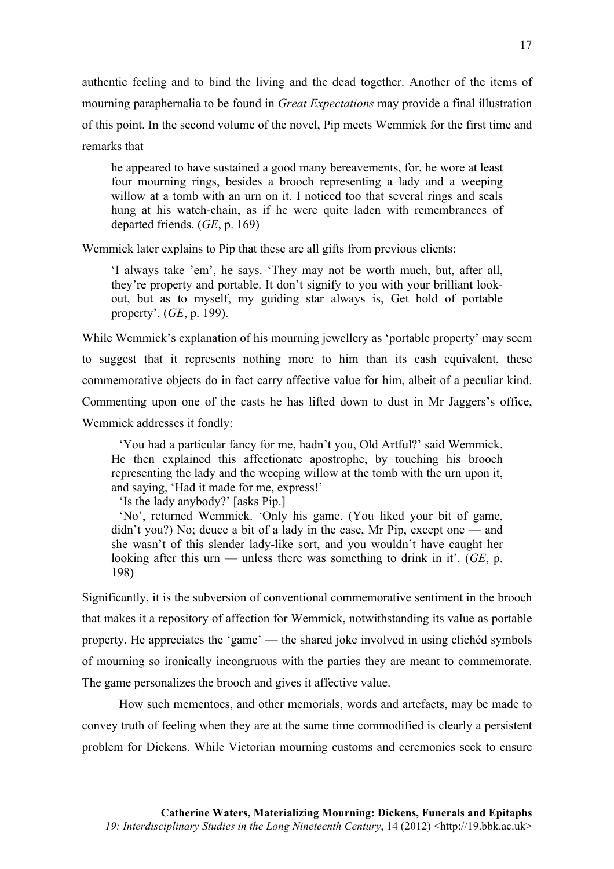authentic feeling and to bind the living and the dead together. Another of the items of mourning paraphernalia to be found in *Great Expectations* may provide a final illustration of this point. In the second volume of the novel, Pip meets Wemmick for the first time and remarks that

he appeared to have sustained a good many bereavements, for, he wore at least four mourning rings, besides a brooch representing a lady and a weeping willow at a tomb with an urn on it. I noticed too that several rings and seals hung at his watch-chain, as if he were quite laden with remembrances of departed friends. (*GE*, p. 169)

Wemmick later explains to Pip that these are all gifts from previous clients:

'I always take 'em', he says. 'They may not be worth much, but, after all, they're property and portable. It don't signify to you with your brilliant lookout, but as to myself, my guiding star always is, Get hold of portable property'. (*GE*, p. 199).

While Wemmick's explanation of his mourning jewellery as 'portable property' may seem to suggest that it represents nothing more to him than its cash equivalent, these commemorative objects do in fact carry affective value for him, albeit of a peculiar kind. Commenting upon one of the casts he has lifted down to dust in Mr Jaggers's office, Wemmick addresses it fondly:

'You had a particular fancy for me, hadn't you, Old Artful?' said Wemmick. He then explained this affectionate apostrophe, by touching his brooch representing the lady and the weeping willow at the tomb with the urn upon it, and saying, 'Had it made for me, express!'

'Is the lady anybody?' [asks Pip.]

'No', returned Wemmick. 'Only his game. (You liked your bit of game, didn't you?) No; deuce a bit of a lady in the case, Mr Pip, except one — and she wasn't of this slender lady-like sort, and you wouldn't have caught her looking after this urn — unless there was something to drink in it'. (*GE*, p. 198)

Significantly, it is the subversion of conventional commemorative sentiment in the brooch that makes it a repository of affection for Wemmick, notwithstanding its value as portable property. He appreciates the 'game' — the shared joke involved in using clichéd symbols of mourning so ironically incongruous with the parties they are meant to commemorate. The game personalizes the brooch and gives it affective value.

How such mementoes, and other memorials, words and artefacts, may be made to convey truth of feeling when they are at the same time commodified is clearly a persistent problem for Dickens. While Victorian mourning customs and ceremonies seek to ensure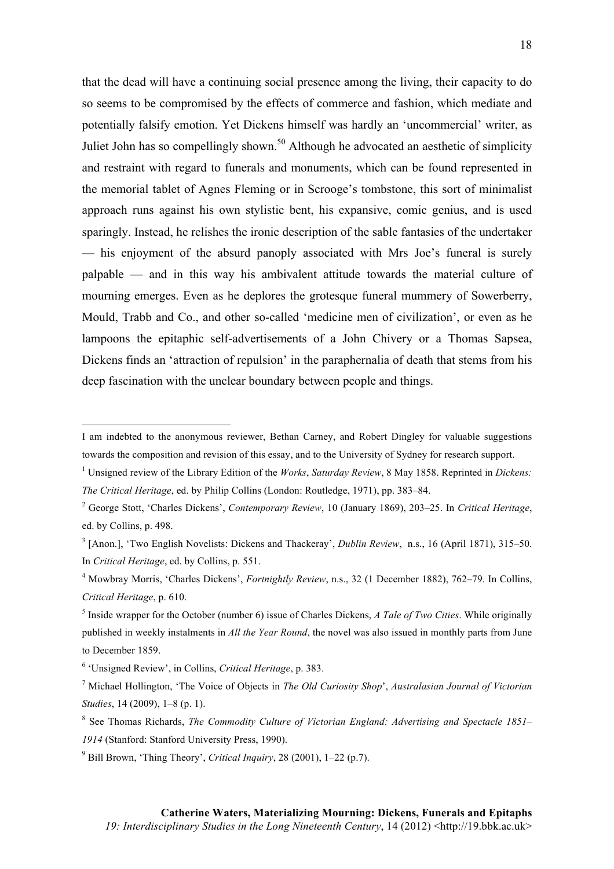that the dead will have a continuing social presence among the living, their capacity to do so seems to be compromised by the effects of commerce and fashion, which mediate and potentially falsify emotion. Yet Dickens himself was hardly an 'uncommercial' writer, as Juliet John has so compellingly shown.<sup>50</sup> Although he advocated an aesthetic of simplicity and restraint with regard to funerals and monuments, which can be found represented in the memorial tablet of Agnes Fleming or in Scrooge's tombstone, this sort of minimalist approach runs against his own stylistic bent, his expansive, comic genius, and is used sparingly. Instead, he relishes the ironic description of the sable fantasies of the undertaker — his enjoyment of the absurd panoply associated with Mrs Joe's funeral is surely palpable — and in this way his ambivalent attitude towards the material culture of mourning emerges. Even as he deplores the grotesque funeral mummery of Sowerberry, Mould, Trabb and Co., and other so-called 'medicine men of civilization', or even as he lampoons the epitaphic self-advertisements of a John Chivery or a Thomas Sapsea, Dickens finds an 'attraction of repulsion' in the paraphernalia of death that stems from his deep fascination with the unclear boundary between people and things.

I am indebted to the anonymous reviewer, Bethan Carney, and Robert Dingley for valuable suggestions towards the composition and revision of this essay, and to the University of Sydney for research support.

<sup>1</sup> Unsigned review of the Library Edition of the *Works*, *Saturday Review*, 8 May 1858. Reprinted in *Dickens: The Critical Heritage*, ed. by Philip Collins (London: Routledge, 1971), pp. 383–84.

<sup>2</sup> George Stott, 'Charles Dickens', *Contemporary Review*, 10 (January 1869), 203–25. In *Critical Heritage*, ed. by Collins, p. 498.

<sup>3</sup> [Anon.], 'Two English Novelists: Dickens and Thackeray', *Dublin Review*, n.s., 16 (April 1871), 315–50. In *Critical Heritage*, ed. by Collins, p. 551.

<sup>4</sup> Mowbray Morris, 'Charles Dickens', *Fortnightly Review*, n.s., 32 (1 December 1882), 762–79. In Collins, *Critical Heritage*, p. 610.

<sup>5</sup> Inside wrapper for the October (number 6) issue of Charles Dickens, *A Tale of Two Cities*. While originally published in weekly instalments in *All the Year Round*, the novel was also issued in monthly parts from June to December 1859.

<sup>6</sup> 'Unsigned Review', in Collins, *Critical Heritage*, p. 383.

<sup>7</sup> Michael Hollington, 'The Voice of Objects in *The Old Curiosity Shop*', *Australasian Journal of Victorian Studies*, 14 (2009), 1–8 (p. 1).

<sup>8</sup> See Thomas Richards, *The Commodity Culture of Victorian England: Advertising and Spectacle 1851– 1914* (Stanford: Stanford University Press, 1990).

<sup>9</sup> Bill Brown, 'Thing Theory', *Critical Inquiry*, 28 (2001), 1–22 (p.7).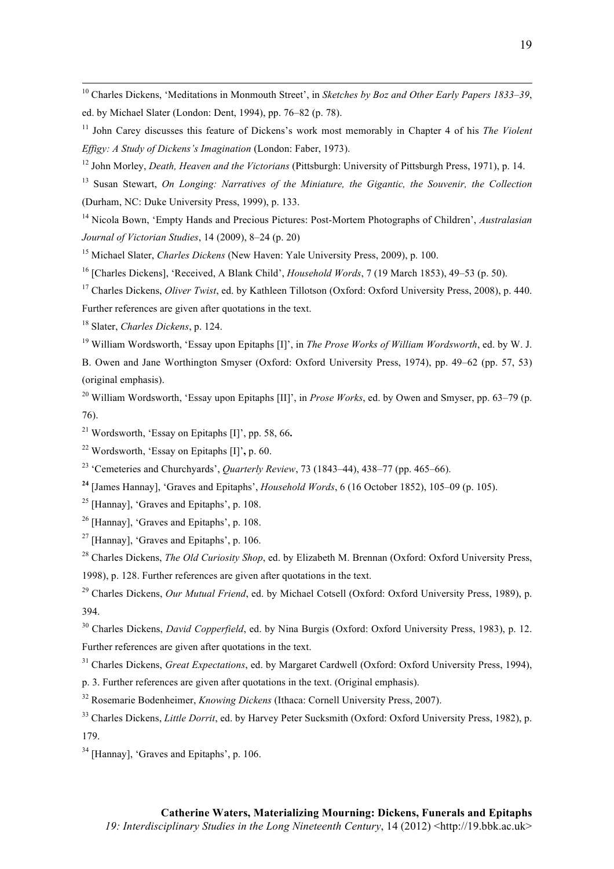10 Charles Dickens, 'Meditations in Monmouth Street', in *Sketches by Boz and Other Early Papers 1833–39*, ed. by Michael Slater (London: Dent, 1994), pp. 76–82 (p. 78).

<sup>11</sup> John Carey discusses this feature of Dickens's work most memorably in Chapter 4 of his *The Violent Effigy: A Study of Dickens's Imagination* (London: Faber, 1973).

<sup>12</sup> John Morley, *Death, Heaven and the Victorians* (Pittsburgh: University of Pittsburgh Press, 1971), p. 14.

<sup>13</sup> Susan Stewart, *On Longing: Narratives of the Miniature, the Gigantic, the Souvenir, the Collection* (Durham, NC: Duke University Press, 1999), p. 133.

<sup>14</sup> Nicola Bown, 'Empty Hands and Precious Pictures: Post-Mortem Photographs of Children', *Australasian Journal of Victorian Studies*, 14 (2009), 8–24 (p. 20)

<sup>15</sup> Michael Slater, *Charles Dickens* (New Haven: Yale University Press, 2009), p. 100.

<sup>16</sup> [Charles Dickens], 'Received, A Blank Child', *Household Words*, 7 (19 March 1853), 49–53 (p. 50).

<sup>17</sup> Charles Dickens, *Oliver Twist*, ed. by Kathleen Tillotson (Oxford: Oxford University Press, 2008), p. 440. Further references are given after quotations in the text.

<sup>18</sup> Slater, *Charles Dickens*, p. 124.

<sup>19</sup> William Wordsworth, 'Essay upon Epitaphs [I]', in *The Prose Works of William Wordsworth*, ed. by W. J. B. Owen and Jane Worthington Smyser (Oxford: Oxford University Press, 1974), pp. 49–62 (pp. 57, 53) (original emphasis).

<sup>20</sup> William Wordsworth, 'Essay upon Epitaphs [II]', in *Prose Works*, ed. by Owen and Smyser, pp. 63–79 (p. 76).

<sup>21</sup> Wordsworth, 'Essay on Epitaphs [I]', pp. 58, 66**.** 

<sup>22</sup> Wordsworth, 'Essay on Epitaphs [I]'**,** p. 60.

<sup>23</sup> 'Cemeteries and Churchyards', *Quarterly Review*, 73 (1843–44), 438–77 (pp. 465–66).

**<sup>24</sup>** [James Hannay], 'Graves and Epitaphs', *Household Words*, 6 (16 October 1852), 105–09 (p. 105).

<sup>25</sup> [Hannay], 'Graves and Epitaphs', p.  $108$ .

 $26$  [Hannay], 'Graves and Epitaphs', p. 108.

 $27$  [Hannay], 'Graves and Epitaphs', p. 106.

<sup>28</sup> Charles Dickens, *The Old Curiosity Shop*, ed. by Elizabeth M. Brennan (Oxford: Oxford University Press, 1998), p. 128. Further references are given after quotations in the text.

<sup>29</sup> Charles Dickens, *Our Mutual Friend*, ed. by Michael Cotsell (Oxford: Oxford University Press, 1989), p. 394.

<sup>30</sup> Charles Dickens, *David Copperfield*, ed. by Nina Burgis (Oxford: Oxford University Press, 1983), p. 12. Further references are given after quotations in the text.

<sup>31</sup> Charles Dickens, *Great Expectations*, ed. by Margaret Cardwell (Oxford: Oxford University Press, 1994),

p. 3. Further references are given after quotations in the text. (Original emphasis).

<sup>32</sup> Rosemarie Bodenheimer, *Knowing Dickens* (Ithaca: Cornell University Press, 2007).

- <sup>33</sup> Charles Dickens, *Little Dorrit*, ed. by Harvey Peter Sucksmith (Oxford: Oxford University Press, 1982), p. 179.
- <sup>34</sup> [Hannay], 'Graves and Epitaphs', p. 106.